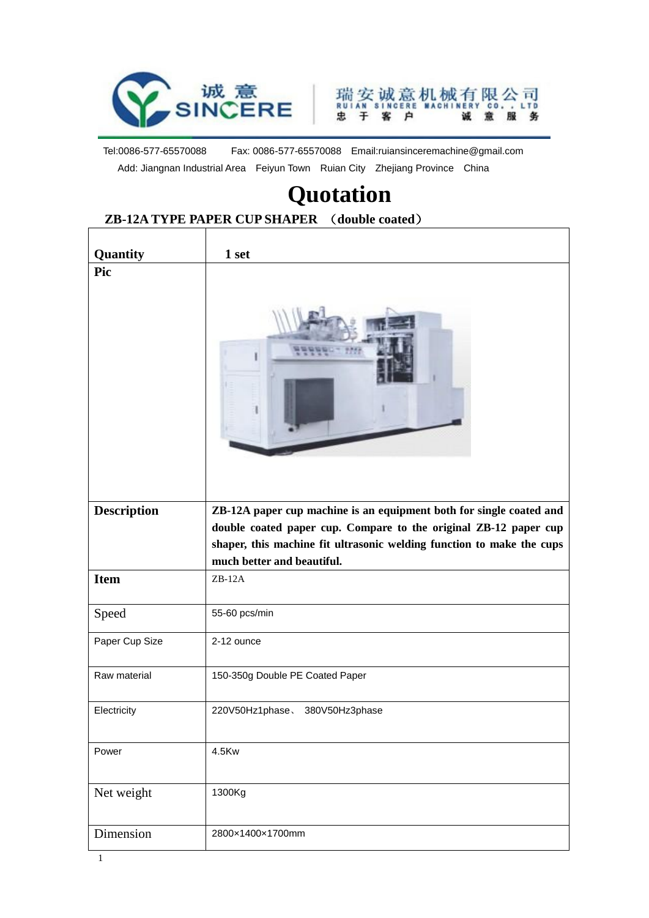



Tel:0086-577-65570088 Fax: 0086-577-65570088 Email:ruiansinceremachine@gmail.com Add: Jiangnan Industrial Area Feiyun Town Ruian City Zhejiang Province China

## **Quotation**

## **ZB-12A TYPE PAPER CUP SHAPER** (**double coated**)

| Quantity           | 1 set                                                                                                                                                                                                                                          |
|--------------------|------------------------------------------------------------------------------------------------------------------------------------------------------------------------------------------------------------------------------------------------|
| Pic                |                                                                                                                                                                                                                                                |
| <b>Description</b> | ZB-12A paper cup machine is an equipment both for single coated and<br>double coated paper cup. Compare to the original ZB-12 paper cup<br>shaper, this machine fit ultrasonic welding function to make the cups<br>much better and beautiful. |
| <b>Item</b>        | $ZB-12A$                                                                                                                                                                                                                                       |
| Speed              | 55-60 pcs/min                                                                                                                                                                                                                                  |
| Paper Cup Size     | 2-12 ounce                                                                                                                                                                                                                                     |
| Raw material       | 150-350g Double PE Coated Paper                                                                                                                                                                                                                |
| Electricity        | 220V50Hz1phase.<br>380V50Hz3phase                                                                                                                                                                                                              |
| Power              | 4.5Kw                                                                                                                                                                                                                                          |
| Net weight         | 1300Kg                                                                                                                                                                                                                                         |
| Dimension          | 2800×1400×1700mm                                                                                                                                                                                                                               |